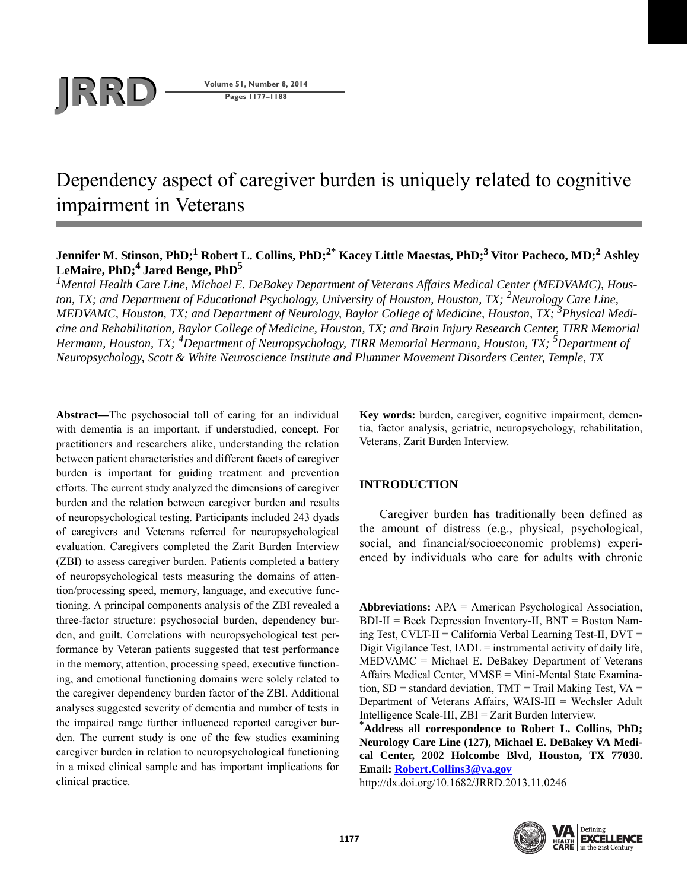# **JRD Volume 51, Number 8, 2014**<br>**Pages 1177–1188**

**Pages 1177–1188**

## Dependency aspect of caregiver burden is uniquely related to cognitive impairment in Veterans

**Jennifer M. Stinson, PhD;**<sup>1</sup> Robert L. Collins, PhD;<sup>2\*</sup> Kacey Little Maestas, PhD;<sup>3</sup> Vitor Pacheco, MD;<sup>2</sup> Ashley LeMaire, PhD;<sup>4</sup> Jared Benge, PhD<sup>5</sup>

<sup>1</sup> Mental Health Care Line, Michael E. DeBakey Department of Veterans Affairs Medical Center (MEDVAMC), Hous*ton, TX; and Department of Educational Psychology, University of Houston, Houston, TX; 2 Neurology Care Line, MEDVAMC, Houston, TX; and Department of Neurology, Baylor College of Medicine, Houston, TX; 3 Physical Medicine and Rehabilitation, Baylor College of Medicine, Houston, TX; and Brain Injury Research Center, TIRR Memorial Hermann, Houston, TX; <sup>4</sup> Department of Neuropsychology, TIRR Memorial Hermann, Houston, TX; 5Department of Neuropsychology, Scott & White Neuroscience Institute and Plummer Movement Disorders Center, Temple, TX*

**Abstract—**The psychosocial toll of caring for an individual with dementia is an important, if understudied, concept. For practitioners and researchers alike, understanding the relation between patient characteristics and different facets of caregiver burden is important for guiding treatment and prevention efforts. The current study analyzed the dimensions of caregiver burden and the relation between caregiver burden and results of neuropsychological testing. Participants included 243 dyads of caregivers and Veterans referred for neuropsychological evaluation. Caregivers completed the Zarit Burden Interview (ZBI) to assess caregiver burden. Patients completed a battery of neuropsychological tests measuring the domains of attention/processing speed, memory, language, and executive functioning. A principal components analysis of the ZBI revealed a three-factor structure: psychosocial burden, dependency burden, and guilt. Correlations with neuropsychological test performance by Veteran patients suggested that test performance in the memory, attention, processing speed, executive functioning, and emotional functioning domains were solely related to the caregiver dependency burden factor of the ZBI. Additional analyses suggested severity of dementia and number of tests in the impaired range further influenced reported caregiver burden. The current study is one of the few studies examining caregiver burden in relation to neuropsychological functioning in a mixed clinical sample and has important implications for clinical practice.

**Key words:** burden, caregiver, cognitive impairment, dementia, factor analysis, geriatric, neuropsychology, rehabilitation, Veterans, Zarit Burden Interview.

## **INTRODUCTION**

Caregiver burden has traditionally been defined as the amount of distress (e.g., physical, psychological, social, and financial/socioeconomic problems) experienced by individuals who care for adults with chronic

http://dx.doi.org/10.1682/JRRD.2013.11.0246



**Abbreviations:** APA = American Psychological Association, BDI-II = Beck Depression Inventory-II, BNT = Boston Naming Test, CVLT-II = California Verbal Learning Test-II, DVT = Digit Vigilance Test, IADL = instrumental activity of daily life, MEDVAMC = Michael E. DeBakey Department of Veterans Affairs Medical Center, MMSE = Mini-Mental State Examination,  $SD =$  standard deviation,  $TMT =$  Trail Making Test,  $VA =$ Department of Veterans Affairs, WAIS-III = Wechsler Adult

Intelligence Scale-III, ZBI = Zarit Burden Interview.<br> **\*Address all correspondence to Robert L. Collins, PhD; Neurology Care Line (127), Michael E. DeBakey VA Medical Center, 2002 Holcombe Blvd, Houston, TX 77030. Email: [Robert.Collins3@va.gov](mailto:Robert.Collins3@va.gov)**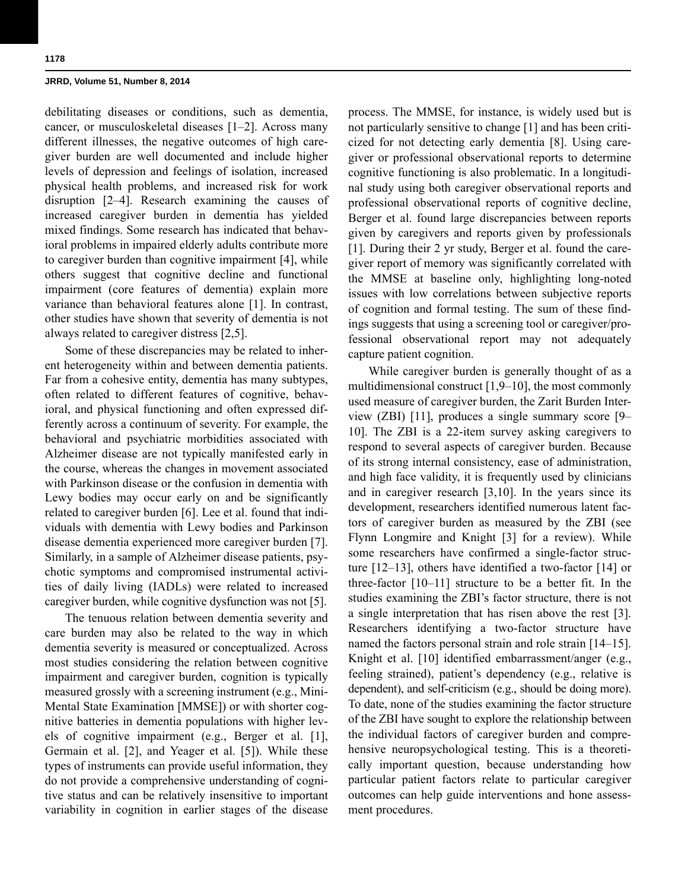debilitating diseases or conditions, such as dementia, cancer, or musculoskeletal diseases [1–2]. Across many different illnesses, the negative outcomes of high caregiver burden are well documented and include higher levels of depression and feelings of isolation, increased physical health problems, and increased risk for work disruption [2–4]. Research examining the causes of increased caregiver burden in dementia has yielded mixed findings. Some research has indicated that behavioral problems in impaired elderly adults contribute more to caregiver burden than cognitive impairment [4], while others suggest that cognitive decline and functional impairment (core features of dementia) explain more variance than behavioral features alone [1]. In contrast, other studies have shown that severity of dementia is not always related to caregiver distress [2,5].

Some of these discrepancies may be related to inherent heterogeneity within and between dementia patients. Far from a cohesive entity, dementia has many subtypes, often related to different features of cognitive, behavioral, and physical functioning and often expressed differently across a continuum of severity. For example, the behavioral and psychiatric morbidities associated with Alzheimer disease are not typically manifested early in the course, whereas the changes in movement associated with Parkinson disease or the confusion in dementia with Lewy bodies may occur early on and be significantly related to caregiver burden [6]. Lee et al. found that individuals with dementia with Lewy bodies and Parkinson disease dementia experienced more caregiver burden [7]. Similarly, in a sample of Alzheimer disease patients, psychotic symptoms and compromised instrumental activities of daily living (IADLs) were related to increased caregiver burden, while cognitive dysfunction was not [5].

The tenuous relation between dementia severity and care burden may also be related to the way in which dementia severity is measured or conceptualized. Across most studies considering the relation between cognitive impairment and caregiver burden, cognition is typically measured grossly with a screening instrument (e.g., Mini-Mental State Examination [MMSE]) or with shorter cognitive batteries in dementia populations with higher levels of cognitive impairment (e.g., Berger et al. [1], Germain et al. [2], and Yeager et al. [5]). While these types of instruments can provide useful information, they do not provide a comprehensive understanding of cognitive status and can be relatively insensitive to important variability in cognition in earlier stages of the disease process. The MMSE, for instance, is widely used but is not particularly sensitive to change [1] and has been criticized for not detecting early dementia [8]. Using caregiver or professional observational reports to determine cognitive functioning is also problematic. In a longitudinal study using both caregiver observational reports and professional observational reports of cognitive decline, Berger et al. found large discrepancies between reports given by caregivers and reports given by professionals [1]. During their 2 yr study, Berger et al. found the caregiver report of memory was significantly correlated with the MMSE at baseline only, highlighting long-noted issues with low correlations between subjective reports of cognition and formal testing. The sum of these findings suggests that using a screening tool or caregiver/professional observational report may not adequately capture patient cognition.

While caregiver burden is generally thought of as a multidimensional construct  $[1,9–10]$ , the most commonly used measure of caregiver burden, the Zarit Burden Interview (ZBI) [11], produces a single summary score [9– 10]. The ZBI is a 22-item survey asking caregivers to respond to several aspects of caregiver burden. Because of its strong internal consistency, ease of administration, and high face validity, it is frequently used by clinicians and in caregiver research [3,10]. In the years since its development, researchers identified numerous latent factors of caregiver burden as measured by the ZBI (see Flynn Longmire and Knight [3] for a review). While some researchers have confirmed a single-factor structure [12–13], others have identified a two-factor [14] or three-factor [10–11] structure to be a better fit. In the studies examining the ZBI's factor structure, there is not a single interpretation that has risen above the rest [3]. Researchers identifying a two-factor structure have named the factors personal strain and role strain [14–15]. Knight et al. [10] identified embarrassment/anger (e.g., feeling strained), patient's dependency (e.g., relative is dependent), and self-criticism (e.g., should be doing more). To date, none of the studies examining the factor structure of the ZBI have sought to explore the relationship between the individual factors of caregiver burden and comprehensive neuropsychological testing. This is a theoretically important question, because understanding how particular patient factors relate to particular caregiver outcomes can help guide interventions and hone assessment procedures.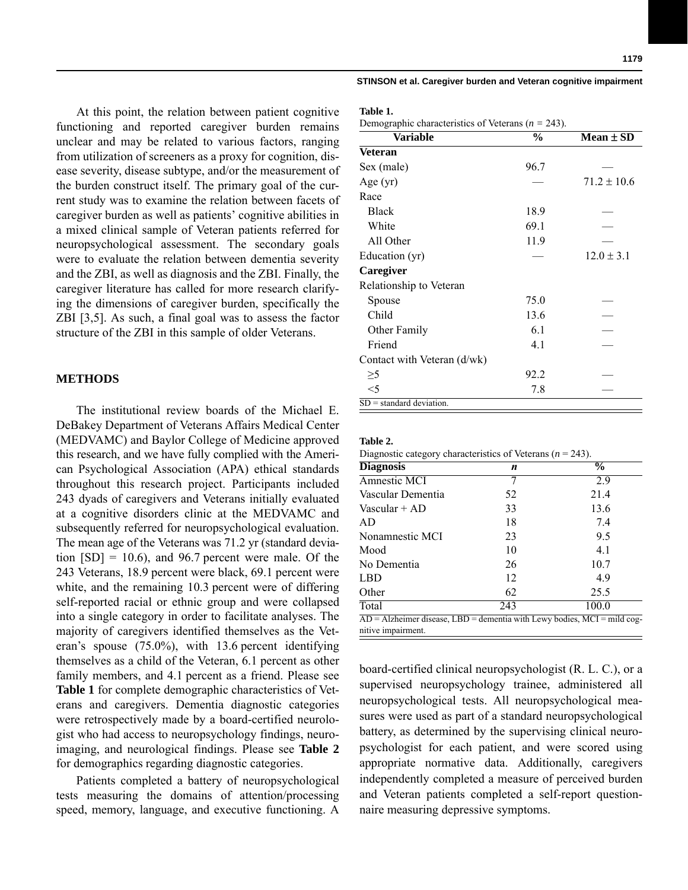At this point, the relation between patient cognitive functioning and reported caregiver burden remains unclear and may be related to various factors, ranging from utilization of screeners as a proxy for cognition, disease severity, disease subtype, and/or the measurement of the burden construct itself. The primary goal of the current study was to examine the relation between facets of caregiver burden as well as patients' cognitive abilities in a mixed clinical sample of Veteran patients referred for neuropsychological assessment. The secondary goals were to evaluate the relation between dementia severity and the ZBI, as well as diagnosis and the ZBI. Finally, the caregiver literature has called for more research clarifying the dimensions of caregiver burden, specifically the ZBI [3,5]. As such, a final goal was to assess the factor structure of the ZBI in this sample of older Veterans.

## **METHODS**

The institutional review boards of the Michael E. DeBakey Department of Veterans Affairs Medical Center (MEDVAMC) and Baylor College of Medicine approved this research, and we have fully complied with the American Psychological Association (APA) ethical standards throughout this research project. Participants included 243 dyads of caregivers and Veterans initially evaluated at a cognitive disorders clinic at the MEDVAMC and subsequently referred for neuropsychological evaluation. The mean age of the Veterans was 71.2 yr (standard deviation  $[SD] = 10.6$ , and 96.7 percent were male. Of the 243 Veterans, 18.9 percent were black, 69.1 percent were white, and the remaining 10.3 percent were of differing self-reported racial or ethnic group and were collapsed into a single category in order to facilitate analyses. The majority of caregivers identified themselves as the Veteran's spouse (75.0%), with 13.6 percent identifying themselves as a child of the Veteran, 6.1 percent as other family members, and 4.1 percent as a friend. Please see **Table 1** for complete demographic characteristics of Veterans and caregivers. Dementia diagnostic categories were retrospectively made by a board-certified neurologist who had access to neuropsychology findings, neuroimaging, and neurological findings. Please see **Table 2** for demographics regarding diagnostic categories.

Patients completed a battery of neuropsychological tests measuring the domains of attention/processing speed, memory, language, and executive functioning. A

## **1179**

#### **STINSON et al. Caregiver burden and Veteran cognitive impairment**

#### **Table 1.**

Demographic characteristics of Veterans (*n =* 243).

| Variable                    | $\frac{0}{0}$ | Mean $\pm$ SD   |  |  |
|-----------------------------|---------------|-----------------|--|--|
| <b>Veteran</b>              |               |                 |  |  |
| Sex (male)                  | 96.7          |                 |  |  |
| Age $(yr)$                  |               | $71.2 \pm 10.6$ |  |  |
| Race                        |               |                 |  |  |
| <b>Black</b>                | 18.9          |                 |  |  |
| White                       | 69.1          |                 |  |  |
| All Other                   | 11.9          |                 |  |  |
| Education (yr)              |               | $12.0 \pm 3.1$  |  |  |
| Caregiver                   |               |                 |  |  |
| Relationship to Veteran     |               |                 |  |  |
| Spouse                      | 75.0          |                 |  |  |
| Child                       | 13.6          |                 |  |  |
| Other Family                | 6.1           |                 |  |  |
| Friend                      | 4.1           |                 |  |  |
| Contact with Veteran (d/wk) |               |                 |  |  |
| $\geq 5$                    | 92.2          |                 |  |  |
| $<$ 5                       | 7.8           |                 |  |  |
| $SD = standard deviation$ . |               |                 |  |  |

## **Table 2.**

| Diagnostic category characteristics of Veterans ( $n = 243$ ). |  |  |
|----------------------------------------------------------------|--|--|
|                                                                |  |  |

| <b>Diagnosis</b>                                                                                     | n   | $\frac{0}{6}$ |
|------------------------------------------------------------------------------------------------------|-----|---------------|
| Amnestic MCI                                                                                         |     | 2.9           |
| Vascular Dementia                                                                                    | 52  | 21.4          |
| Vascular $+$ AD                                                                                      | 33  | 13.6          |
| AD                                                                                                   | 18  | 7.4           |
| Nonamnestic MCI                                                                                      | 23  | 9.5           |
| Mood                                                                                                 | 10  | 4.1           |
| No Dementia                                                                                          | 26  | 10.7          |
| LBD                                                                                                  | 12  | 4.9           |
| Other                                                                                                | 62  | 25.5          |
| Total                                                                                                | 243 | 100.0         |
| $AD =$ Alzheimer disease, $LBD =$ dementia with Lewy bodies, $MCI =$ mild cog-<br>nitive impairment. |     |               |

board-certified clinical neuropsychologist (R. L. C.), or a supervised neuropsychology trainee, administered all neuropsychological tests. All neuropsychological measures were used as part of a standard neuropsychological battery, as determined by the supervising clinical neuropsychologist for each patient, and were scored using appropriate normative data. Additionally, caregivers independently completed a measure of perceived burden and Veteran patients completed a self-report questionnaire measuring depressive symptoms.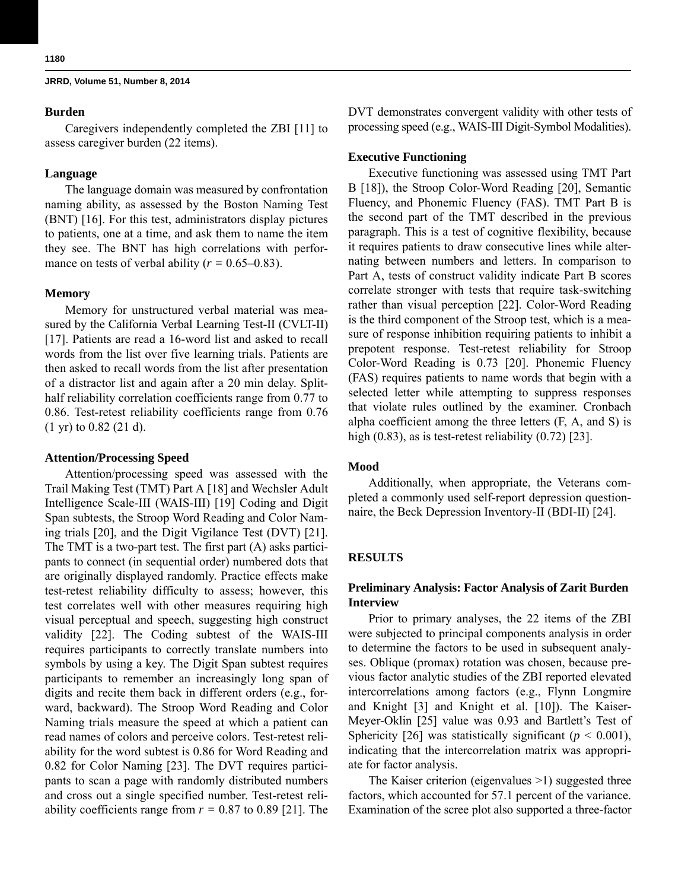#### **Burden**

Caregivers independently completed the ZBI [11] to assess caregiver burden (22 items).

## **Language**

The language domain was measured by confrontation naming ability, as assessed by the Boston Naming Test (BNT) [16]. For this test, administrators display pictures to patients, one at a time, and ask them to name the item they see. The BNT has high correlations with performance on tests of verbal ability ( $r = 0.65 - 0.83$ ).

#### **Memory**

Memory for unstructured verbal material was measured by the California Verbal Learning Test-II (CVLT-II) [17]. Patients are read a 16-word list and asked to recall words from the list over five learning trials. Patients are then asked to recall words from the list after presentation of a distractor list and again after a 20 min delay. Splithalf reliability correlation coefficients range from 0.77 to 0.86. Test-retest reliability coefficients range from 0.76 (1 yr) to 0.82 (21 d).

## **Attention/Processing Speed**

Attention/processing speed was assessed with the Trail Making Test (TMT) Part A [18] and Wechsler Adult Intelligence Scale-III (WAIS-III) [19] Coding and Digit Span subtests, the Stroop Word Reading and Color Naming trials [20], and the Digit Vigilance Test (DVT) [21]. The TMT is a two-part test. The first part (A) asks participants to connect (in sequential order) numbered dots that are originally displayed randomly. Practice effects make test-retest reliability difficulty to assess; however, this test correlates well with other measures requiring high visual perceptual and speech, suggesting high construct validity [22]. The Coding subtest of the WAIS-III requires participants to correctly translate numbers into symbols by using a key. The Digit Span subtest requires participants to remember an increasingly long span of digits and recite them back in different orders (e.g., forward, backward). The Stroop Word Reading and Color Naming trials measure the speed at which a patient can read names of colors and perceive colors. Test-retest reliability for the word subtest is 0.86 for Word Reading and 0.82 for Color Naming [23]. The DVT requires participants to scan a page with randomly distributed numbers and cross out a single specified number. Test-retest reliability coefficients range from  $r = 0.87$  to 0.89 [21]. The DVT demonstrates convergent validity with other tests of processing speed (e.g., WAIS-III Digit-Symbol Modalities).

## **Executive Functioning**

Executive functioning was assessed using TMT Part B [18]), the Stroop Color-Word Reading [20], Semantic Fluency, and Phonemic Fluency (FAS). TMT Part B is the second part of the TMT described in the previous paragraph. This is a test of cognitive flexibility, because it requires patients to draw consecutive lines while alternating between numbers and letters. In comparison to Part A, tests of construct validity indicate Part B scores correlate stronger with tests that require task-switching rather than visual perception [22]. Color-Word Reading is the third component of the Stroop test, which is a measure of response inhibition requiring patients to inhibit a prepotent response. Test-retest reliability for Stroop Color-Word Reading is 0.73 [20]. Phonemic Fluency (FAS) requires patients to name words that begin with a selected letter while attempting to suppress responses that violate rules outlined by the examiner. Cronbach alpha coefficient among the three letters (F, A, and S) is high  $(0.83)$ , as is test-retest reliability  $(0.72)$  [23].

## **Mood**

Additionally, when appropriate, the Veterans completed a commonly used self-report depression questionnaire, the Beck Depression Inventory-II (BDI-II) [24].

## **RESULTS**

## **Preliminary Analysis: Factor Analysis of Zarit Burden Interview**

Prior to primary analyses, the 22 items of the ZBI were subjected to principal components analysis in order to determine the factors to be used in subsequent analyses. Oblique (promax) rotation was chosen, because previous factor analytic studies of the ZBI reported elevated intercorrelations among factors (e.g., Flynn Longmire and Knight [3] and Knight et al. [10]). The Kaiser-Meyer-Oklin [25] value was 0.93 and Bartlett's Test of Sphericity [26] was statistically significant ( $p < 0.001$ ), indicating that the intercorrelation matrix was appropriate for factor analysis.

The Kaiser criterion (eigenvalues >1) suggested three factors, which accounted for 57.1 percent of the variance. Examination of the scree plot also supported a three-factor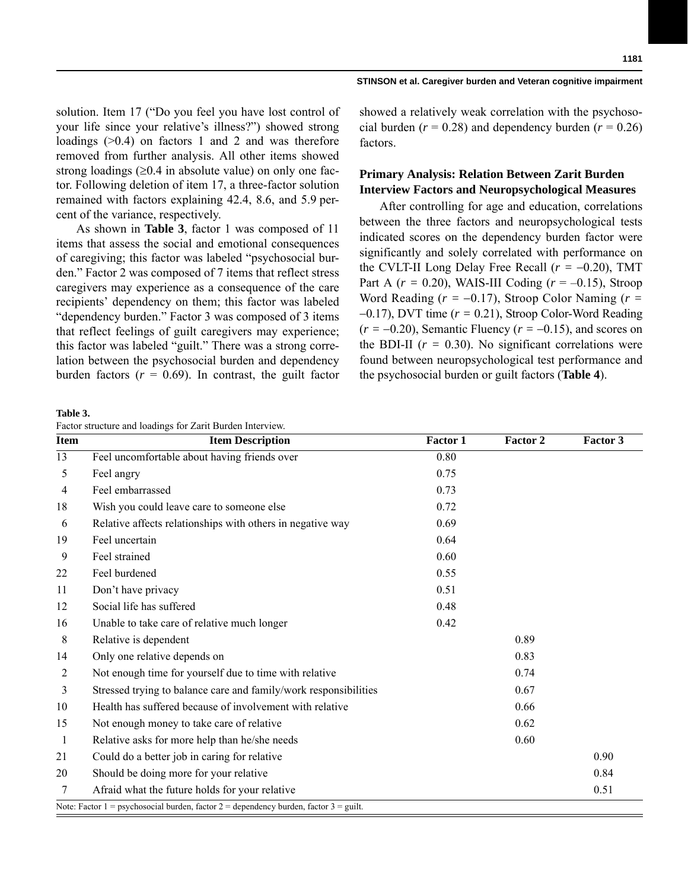solution. Item 17 ("Do you feel you have lost control of your life since your relative's illness?") showed strong loadings (>0.4) on factors 1 and 2 and was therefore removed from further analysis. All other items showed strong loadings  $(\geq 0.4$  in absolute value) on only one factor. Following deletion of item 17, a three-factor solution remained with factors explaining 42.4, 8.6, and 5.9 percent of the variance, respectively.

As shown in **Table 3**, factor 1 was composed of 11 items that assess the social and emotional consequences of caregiving; this factor was labeled "psychosocial burden." Factor 2 was composed of 7 items that reflect stress caregivers may experience as a consequence of the care recipients' dependency on them; this factor was labeled "dependency burden." Factor 3 was composed of 3 items that reflect feelings of guilt caregivers may experience; this factor was labeled "guilt." There was a strong correlation between the psychosocial burden and dependency burden factors  $(r = 0.69)$ . In contrast, the guilt factor showed a relatively weak correlation with the psychosocial burden ( $r = 0.28$ ) and dependency burden ( $r = 0.26$ ) factors.

## **Primary Analysis: Relation Between Zarit Burden Interview Factors and Neuropsychological Measures**

After controlling for age and education, correlations between the three factors and neuropsychological tests indicated scores on the dependency burden factor were significantly and solely correlated with performance on the CVLT-II Long Delay Free Recall  $(r = -0.20)$ , TMT Part A (*r =* 0.20), WAIS-III Coding (*r* = –0.15), Stroop Word Reading  $(r = -0.17)$ , Stroop Color Naming  $(r =$  $-0.17$ ), DVT time ( $r = 0.21$ ), Stroop Color-Word Reading  $(r = -0.20)$ , Semantic Fluency  $(r = -0.15)$ , and scores on the BDI-II  $(r = 0.30)$ . No significant correlations were found between neuropsychological test performance and the psychosocial burden or guilt factors (**Table 4**).

**Table 3.**

| Factor structure and loadings for Zarit Burden Interview. |  |
|-----------------------------------------------------------|--|
|-----------------------------------------------------------|--|

| <b>Item</b>     | <b>Item Description</b>                                                                     | Factor 1 | Factor 2 | Factor 3 |
|-----------------|---------------------------------------------------------------------------------------------|----------|----------|----------|
| $\overline{13}$ | Feel uncomfortable about having friends over                                                | 0.80     |          |          |
| 5               | Feel angry                                                                                  | 0.75     |          |          |
| 4               | Feel embarrassed                                                                            | 0.73     |          |          |
| 18              | Wish you could leave care to someone else                                                   | 0.72     |          |          |
| 6               | Relative affects relationships with others in negative way                                  | 0.69     |          |          |
| 19              | Feel uncertain                                                                              | 0.64     |          |          |
| 9               | Feel strained                                                                               | 0.60     |          |          |
| 22              | Feel burdened                                                                               | 0.55     |          |          |
| 11              | Don't have privacy                                                                          | 0.51     |          |          |
| 12              | Social life has suffered                                                                    | 0.48     |          |          |
| 16              | Unable to take care of relative much longer                                                 | 0.42     |          |          |
| 8               | Relative is dependent                                                                       |          | 0.89     |          |
| 14              | Only one relative depends on                                                                |          | 0.83     |          |
| 2               | Not enough time for yourself due to time with relative                                      |          | 0.74     |          |
| 3               | Stressed trying to balance care and family/work responsibilities                            |          | 0.67     |          |
| 10              | Health has suffered because of involvement with relative                                    |          | 0.66     |          |
| 15              | Not enough money to take care of relative                                                   |          | 0.62     |          |
| 1               | Relative asks for more help than he/she needs                                               |          | 0.60     |          |
| 21              | Could do a better job in caring for relative                                                |          |          | 0.90     |
| 20              | Should be doing more for your relative                                                      |          |          | 0.84     |
| 7               | Afraid what the future holds for your relative                                              |          |          | 0.51     |
|                 | Note: Factor $1 =$ psychosocial burden, factor $2 =$ dependency burden, factor $3 =$ guilt. |          |          |          |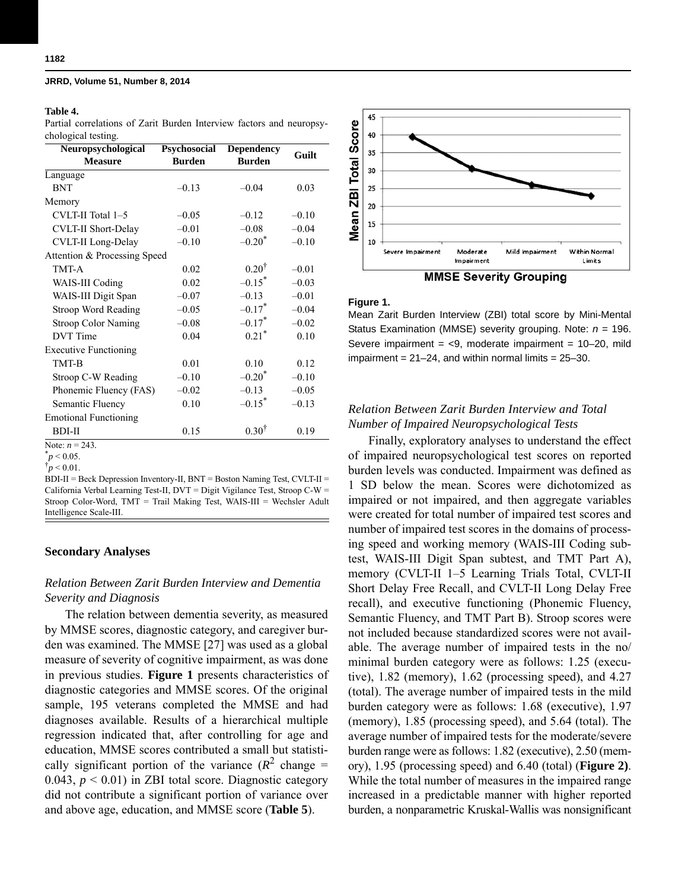#### **Table 4.**

Partial correlations of Zarit Burden Interview factors and neuropsychological testing.

| Neuropsychological           | Psychosocial  | <b>Dependency</b>    | Guilt   |  |
|------------------------------|---------------|----------------------|---------|--|
| <b>Measure</b>               | <b>Burden</b> | <b>Burden</b>        |         |  |
| Language                     |               |                      |         |  |
| <b>BNT</b>                   | $-0.13$       | $-0.04$              | 0.03    |  |
| Memory                       |               |                      |         |  |
| CVLT-II Total 1-5            | $-0.05$       | $-0.12$              | $-0.10$ |  |
| <b>CVLT-II Short-Delay</b>   | $-0.01$       | $-0.08$              | $-0.04$ |  |
| <b>CVLT-II Long-Delay</b>    | $-0.10$       | $-0.20$ <sup>*</sup> | $-0.10$ |  |
| Attention & Processing Speed |               |                      |         |  |
| TMT-A                        | 0.02          | $0.20^{\dagger}$     | $-0.01$ |  |
| WAIS-III Coding              | 0.02          | $-0.15$ <sup>*</sup> | $-0.03$ |  |
| WAIS-III Digit Span          | $-0.07$       | $-0.13$              | $-0.01$ |  |
| <b>Stroop Word Reading</b>   | $-0.05$       | $-0.17$ <sup>*</sup> | $-0.04$ |  |
| <b>Stroop Color Naming</b>   | $-0.08$       | $-0.17$ <sup>*</sup> | $-0.02$ |  |
| <b>DVT</b> Time              | 0.04          | $0.21$ <sup>*</sup>  | 0.10    |  |
| <b>Executive Functioning</b> |               |                      |         |  |
| TMT-B                        | 0.01          | 0.10                 | 0.12    |  |
| Stroop C-W Reading           | $-0.10$       | $-0.20$ <sup>*</sup> | $-0.10$ |  |
| Phonemic Fluency (FAS)       | $-0.02$       | $-0.13$              | $-0.05$ |  |
| Semantic Fluency             | 0.10          | $-0.15$ <sup>*</sup> | $-0.13$ |  |
| <b>Emotional Functioning</b> |               |                      |         |  |
| <b>BDI-II</b>                | 0.15          | $0.30^{\dagger}$     | 0.19    |  |
| Note: $n = 243$ .            |               |                      |         |  |

BDI-II = Beck Depression Inventory-II, BNT = Boston Naming Test, CVLT-II = California Verbal Learning Test-II, DVT = Digit Vigilance Test, Stroop C-W = Stroop Color-Word, TMT = Trail Making Test, WAIS-III = Wechsler Adult Intelligence Scale-III.

#### **Secondary Analyses**

## *Relation Between Zarit Burden Interview and Dementia Severity and Diagnosis*

The relation between dementia severity, as measured by MMSE scores, diagnostic category, and caregiver burden was examined. The MMSE [27] was used as a global measure of severity of cognitive impairment, as was done in previous studies. **Figure 1** presents characteristics of diagnostic categories and MMSE scores. Of the original sample, 195 veterans completed the MMSE and had diagnoses available. Results of a hierarchical multiple regression indicated that, after controlling for age and education, MMSE scores contributed a small but statistically significant portion of the variance  $(R^2 \text{ change} =$ 0.043,  $p < 0.01$ ) in ZBI total score. Diagnostic category did not contribute a significant portion of variance over and above age, education, and MMSE score (**Table 5**).



#### **Figure 1.**

Mean Zarit Burden Interview (ZBI) total score by Mini-Mental Status Examination (MMSE) severity grouping. Note: *n* = 196. Severe impairment =  $<$ 9, moderate impairment = 10–20, mild impairment =  $21-24$ , and within normal limits =  $25-30$ .

## *Relation Between Zarit Burden Interview and Total Number of Impaired Neuropsychological Tests*

Finally, exploratory analyses to understand the effect of impaired neuropsychological test scores on reported burden levels was conducted. Impairment was defined as 1 SD below the mean. Scores were dichotomized as impaired or not impaired, and then aggregate variables were created for total number of impaired test scores and number of impaired test scores in the domains of processing speed and working memory (WAIS-III Coding subtest, WAIS-III Digit Span subtest, and TMT Part A), memory (CVLT-II 1–5 Learning Trials Total, CVLT-II Short Delay Free Recall, and CVLT-II Long Delay Free recall), and executive functioning (Phonemic Fluency, Semantic Fluency, and TMT Part B). Stroop scores were not included because standardized scores were not available. The average number of impaired tests in the no/ minimal burden category were as follows: 1.25 (executive), 1.82 (memory), 1.62 (processing speed), and 4.27 (total). The average number of impaired tests in the mild burden category were as follows: 1.68 (executive), 1.97 (memory), 1.85 (processing speed), and 5.64 (total). The average number of impaired tests for the moderate/severe burden range were as follows: 1.82 (executive), 2.50 (memory), 1.95 (processing speed) and 6.40 (total) (**Figure 2)**. While the total number of measures in the impaired range increased in a predictable manner with higher reported burden, a nonparametric Kruskal-Wallis was nonsignificant

 $\mu$  < 0.05.  $\bar{f}_p < 0.01$ .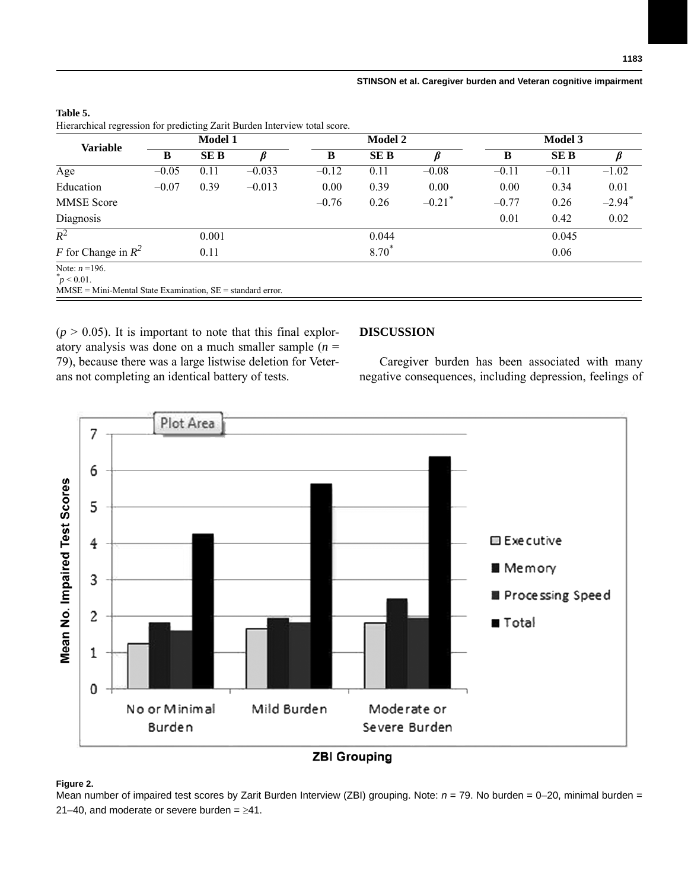| <b>Variable</b>                    | <b>Model 1</b> |       |          | <b>Model 2</b> |         |                      | <b>Model 3</b> |         |                      |
|------------------------------------|----------------|-------|----------|----------------|---------|----------------------|----------------|---------|----------------------|
|                                    | B              | SE B  | ß        | B              | SE B    |                      | B              | SE B    |                      |
| Age                                | $-0.05$        | 0.11  | $-0.033$ | $-0.12$        | 0.11    | $-0.08$              | $-0.11$        | $-0.11$ | $-1.02$              |
| Education                          | $-0.07$        | 0.39  | $-0.013$ | 0.00           | 0.39    | 0.00                 | 0.00           | 0.34    | 0.01                 |
| <b>MMSE</b> Score                  |                |       |          | $-0.76$        | 0.26    | $-0.21$ <sup>*</sup> | $-0.77$        | 0.26    | $-2.94$ <sup>*</sup> |
| Diagnosis                          |                |       |          |                |         |                      | 0.01           | 0.42    | 0.02                 |
| $R^2$                              |                | 0.001 |          |                | 0.044   |                      |                | 0.045   |                      |
| F for Change in $R^2$              |                | 0.11  |          |                | $8.70*$ |                      | 0.06           |         |                      |
| Note: $n = 196$ .<br>$p^*$ < 0.01. |                |       |          |                |         |                      |                |         |                      |

| Table 5.                                                                   |  |  |  |  |
|----------------------------------------------------------------------------|--|--|--|--|
| Hierarchical regression for predicting Zarit Burden Interview total score. |  |  |  |  |

MMSE = Mini-Mental State Examination, SE = standard error.

**Table 5.** 

 $(p > 0.05)$ . It is important to note that this final exploratory analysis was done on a much smaller sample (*n* = 79), because there was a large listwise deletion for Veterans not completing an identical battery of tests.

## **DISCUSSION**

Caregiver burden has been associated with many negative consequences, including depression, feelings of



**ZBI Grouping** 

**Figure 2.** 

Mean number of impaired test scores by Zarit Burden Interview (ZBI) grouping. Note:  $n = 79$ . No burden = 0–20, minimal burden = 21–40, and moderate or severe burden =  $\geq$ 41.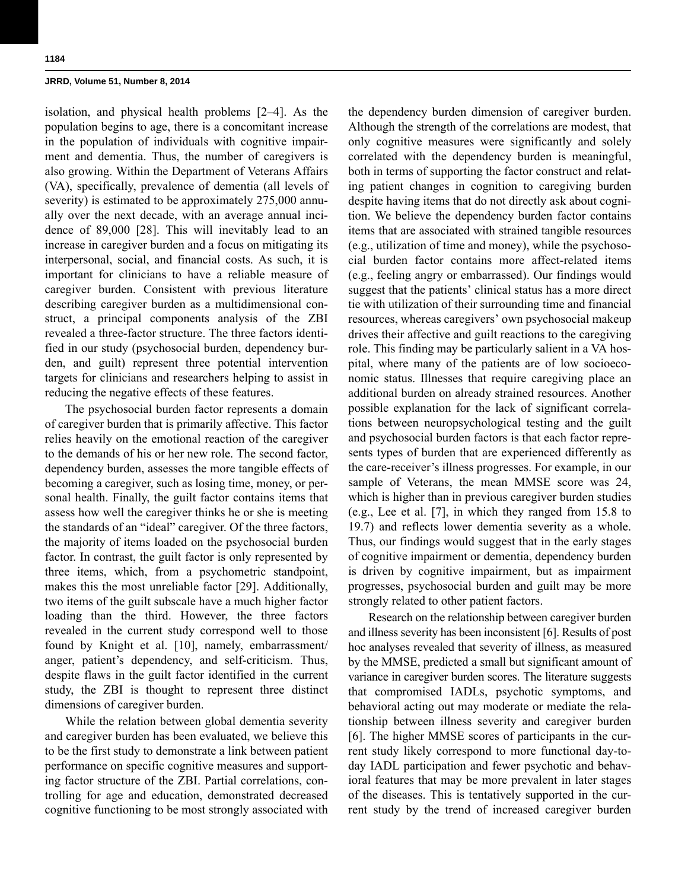isolation, and physical health problems [2–4]. As the population begins to age, there is a concomitant increase in the population of individuals with cognitive impairment and dementia. Thus, the number of caregivers is also growing. Within the Department of Veterans Affairs (VA), specifically, prevalence of dementia (all levels of severity) is estimated to be approximately 275,000 annually over the next decade, with an average annual incidence of 89,000 [28]. This will inevitably lead to an increase in caregiver burden and a focus on mitigating its interpersonal, social, and financial costs. As such, it is important for clinicians to have a reliable measure of caregiver burden. Consistent with previous literature describing caregiver burden as a multidimensional construct, a principal components analysis of the ZBI revealed a three-factor structure. The three factors identified in our study (psychosocial burden, dependency burden, and guilt) represent three potential intervention targets for clinicians and researchers helping to assist in reducing the negative effects of these features.

The psychosocial burden factor represents a domain of caregiver burden that is primarily affective. This factor relies heavily on the emotional reaction of the caregiver to the demands of his or her new role. The second factor, dependency burden, assesses the more tangible effects of becoming a caregiver, such as losing time, money, or personal health. Finally, the guilt factor contains items that assess how well the caregiver thinks he or she is meeting the standards of an "ideal" caregiver. Of the three factors, the majority of items loaded on the psychosocial burden factor. In contrast, the guilt factor is only represented by three items, which, from a psychometric standpoint, makes this the most unreliable factor [29]. Additionally, two items of the guilt subscale have a much higher factor loading than the third. However, the three factors revealed in the current study correspond well to those found by Knight et al. [10], namely, embarrassment/ anger, patient's dependency, and self-criticism. Thus, despite flaws in the guilt factor identified in the current study, the ZBI is thought to represent three distinct dimensions of caregiver burden.

While the relation between global dementia severity and caregiver burden has been evaluated, we believe this to be the first study to demonstrate a link between patient performance on specific cognitive measures and supporting factor structure of the ZBI. Partial correlations, controlling for age and education, demonstrated decreased cognitive functioning to be most strongly associated with the dependency burden dimension of caregiver burden. Although the strength of the correlations are modest, that only cognitive measures were significantly and solely correlated with the dependency burden is meaningful, both in terms of supporting the factor construct and relating patient changes in cognition to caregiving burden despite having items that do not directly ask about cognition. We believe the dependency burden factor contains items that are associated with strained tangible resources (e.g., utilization of time and money), while the psychosocial burden factor contains more affect-related items (e.g., feeling angry or embarrassed). Our findings would suggest that the patients' clinical status has a more direct tie with utilization of their surrounding time and financial resources, whereas caregivers' own psychosocial makeup drives their affective and guilt reactions to the caregiving role. This finding may be particularly salient in a VA hospital, where many of the patients are of low socioeconomic status. Illnesses that require caregiving place an additional burden on already strained resources. Another possible explanation for the lack of significant correlations between neuropsychological testing and the guilt and psychosocial burden factors is that each factor represents types of burden that are experienced differently as the care-receiver's illness progresses. For example, in our sample of Veterans, the mean MMSE score was 24, which is higher than in previous caregiver burden studies (e.g., Lee et al. [7], in which they ranged from 15.8 to 19.7) and reflects lower dementia severity as a whole. Thus, our findings would suggest that in the early stages of cognitive impairment or dementia, dependency burden is driven by cognitive impairment, but as impairment progresses, psychosocial burden and guilt may be more strongly related to other patient factors.

Research on the relationship between caregiver burden and illness severity has been inconsistent [6]. Results of post hoc analyses revealed that severity of illness, as measured by the MMSE, predicted a small but significant amount of variance in caregiver burden scores. The literature suggests that compromised IADLs, psychotic symptoms, and behavioral acting out may moderate or mediate the relationship between illness severity and caregiver burden [6]. The higher MMSE scores of participants in the current study likely correspond to more functional day-today IADL participation and fewer psychotic and behavioral features that may be more prevalent in later stages of the diseases. This is tentatively supported in the current study by the trend of increased caregiver burden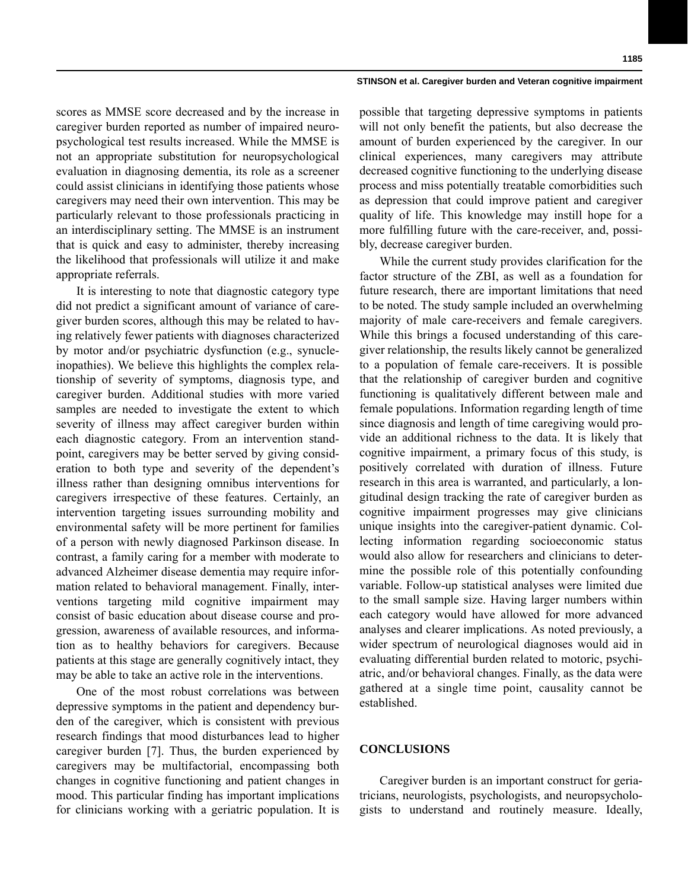scores as MMSE score decreased and by the increase in caregiver burden reported as number of impaired neuropsychological test results increased. While the MMSE is not an appropriate substitution for neuropsychological evaluation in diagnosing dementia, its role as a screener could assist clinicians in identifying those patients whose caregivers may need their own intervention. This may be particularly relevant to those professionals practicing in an interdisciplinary setting. The MMSE is an instrument that is quick and easy to administer, thereby increasing the likelihood that professionals will utilize it and make appropriate referrals.

It is interesting to note that diagnostic category type did not predict a significant amount of variance of caregiver burden scores, although this may be related to having relatively fewer patients with diagnoses characterized by motor and/or psychiatric dysfunction (e.g., synucleinopathies). We believe this highlights the complex relationship of severity of symptoms, diagnosis type, and caregiver burden. Additional studies with more varied samples are needed to investigate the extent to which severity of illness may affect caregiver burden within each diagnostic category. From an intervention standpoint, caregivers may be better served by giving consideration to both type and severity of the dependent's illness rather than designing omnibus interventions for caregivers irrespective of these features. Certainly, an intervention targeting issues surrounding mobility and environmental safety will be more pertinent for families of a person with newly diagnosed Parkinson disease. In contrast, a family caring for a member with moderate to advanced Alzheimer disease dementia may require information related to behavioral management. Finally, interventions targeting mild cognitive impairment may consist of basic education about disease course and progression, awareness of available resources, and information as to healthy behaviors for caregivers. Because patients at this stage are generally cognitively intact, they may be able to take an active role in the interventions.

One of the most robust correlations was between depressive symptoms in the patient and dependency burden of the caregiver, which is consistent with previous research findings that mood disturbances lead to higher caregiver burden [7]. Thus, the burden experienced by caregivers may be multifactorial, encompassing both changes in cognitive functioning and patient changes in mood. This particular finding has important implications for clinicians working with a geriatric population. It is

possible that targeting depressive symptoms in patients will not only benefit the patients, but also decrease the amount of burden experienced by the caregiver. In our clinical experiences, many caregivers may attribute decreased cognitive functioning to the underlying disease process and miss potentially treatable comorbidities such as depression that could improve patient and caregiver quality of life. This knowledge may instill hope for a more fulfilling future with the care-receiver, and, possibly, decrease caregiver burden.

While the current study provides clarification for the factor structure of the ZBI, as well as a foundation for future research, there are important limitations that need to be noted. The study sample included an overwhelming majority of male care-receivers and female caregivers. While this brings a focused understanding of this caregiver relationship, the results likely cannot be generalized to a population of female care-receivers. It is possible that the relationship of caregiver burden and cognitive functioning is qualitatively different between male and female populations. Information regarding length of time since diagnosis and length of time caregiving would provide an additional richness to the data. It is likely that cognitive impairment, a primary focus of this study, is positively correlated with duration of illness. Future research in this area is warranted, and particularly, a longitudinal design tracking the rate of caregiver burden as cognitive impairment progresses may give clinicians unique insights into the caregiver-patient dynamic. Collecting information regarding socioeconomic status would also allow for researchers and clinicians to determine the possible role of this potentially confounding variable. Follow-up statistical analyses were limited due to the small sample size. Having larger numbers within each category would have allowed for more advanced analyses and clearer implications. As noted previously, a wider spectrum of neurological diagnoses would aid in evaluating differential burden related to motoric, psychiatric, and/or behavioral changes. Finally, as the data were gathered at a single time point, causality cannot be established.

## **CONCLUSIONS**

Caregiver burden is an important construct for geriatricians, neurologists, psychologists, and neuropsychologists to understand and routinely measure. Ideally,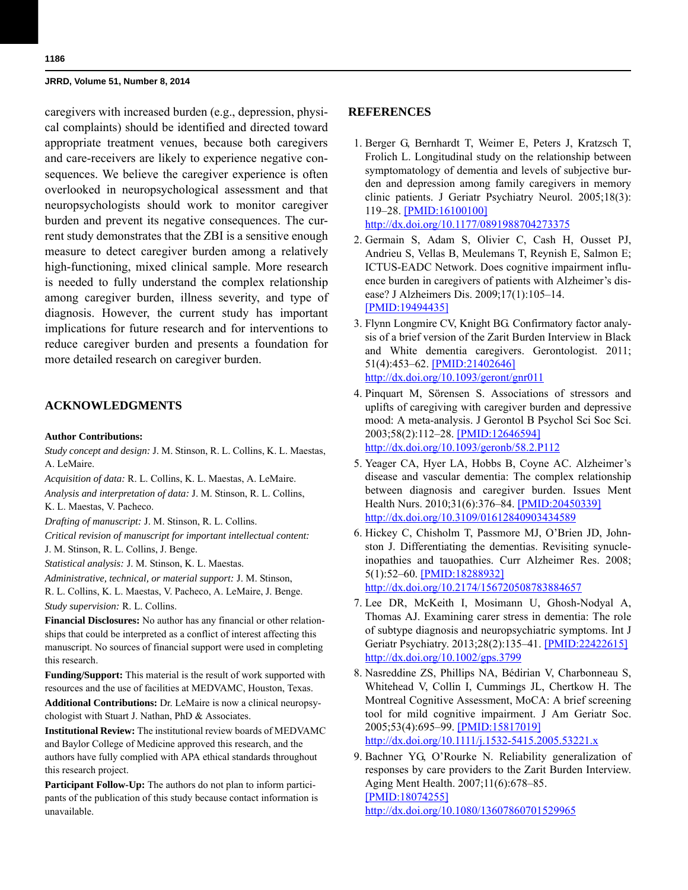caregivers with increased burden (e.g., depression, physical complaints) should be identified and directed toward appropriate treatment venues, because both caregivers and care-receivers are likely to experience negative consequences. We believe the caregiver experience is often overlooked in neuropsychological assessment and that neuropsychologists should work to monitor caregiver burden and prevent its negative consequences. The current study demonstrates that the ZBI is a sensitive enough measure to detect caregiver burden among a relatively high-functioning, mixed clinical sample. More research is needed to fully understand the complex relationship among caregiver burden, illness severity, and type of diagnosis. However, the current study has important implications for future research and for interventions to reduce caregiver burden and presents a foundation for more detailed research on caregiver burden.

## **ACKNOWLEDGMENTS**

**Author Contributions:**

*Study concept and design:* J. M. Stinson, R. L. Collins, K. L. Maestas, A. LeMaire.

*Acquisition of data:* R. L. Collins, K. L. Maestas, A. LeMaire.

*Analysis and interpretation of data:* J. M. Stinson, R. L. Collins,

K. L. Maestas, V. Pacheco.

*Drafting of manuscript:* J. M. Stinson, R. L. Collins.

*Critical revision of manuscript for important intellectual content:* J. M. Stinson, R. L. Collins, J. Benge.

*Statistical analysis:* J. M. Stinson, K. L. Maestas.

*Administrative, technical, or material support:* J. M. Stinson, R. L. Collins, K. L. Maestas, V. Pacheco, A. LeMaire, J. Benge. *Study supervision:* R. L. Collins.

**Financial Disclosures:** No author has any financial or other relationships that could be interpreted as a conflict of interest affecting this manuscript. No sources of financial support were used in completing this research.

**Funding/Support:** This material is the result of work supported with resources and the use of facilities at MEDVAMC, Houston, Texas.

**Additional Contributions:** Dr. LeMaire is now a clinical neuropsychologist with Stuart J. Nathan, PhD & Associates.

**Institutional Review:** The institutional review boards of MEDVAMC and Baylor College of Medicine approved this research, and the authors have fully complied with APA ethical standards throughout this research project.

**Participant Follow-Up:** The authors do not plan to inform participants of the publication of this study because contact information is unavailable.

## **REFERENCES**

- 1. Berger G, Bernhardt T, Weimer E, Peters J, Kratzsch T, Frolich L. Longitudinal study on the relationship between symptomatology of dementia and levels of subjective burden and depression among family caregivers in memory clinic patients. J Geriatr Psychiatry Neurol. 2005;18(3): 119–28. [\[PMID:16100100\]](http://www.ncbi.nlm.nih.gov/entrez/query.fcgi?cmd=Retrieve&db=PubMed&list_uids=16100100&dopt=Abstract) <http://dx.doi.org/10.1177/0891988704273375>
- 2. Germain S, Adam S, Olivier C, Cash H, Ousset PJ, Andrieu S, Vellas B, Meulemans T, Reynish E, Salmon E; ICTUS-EADC Network. Does cognitive impairment influence burden in caregivers of patients with Alzheimer's disease? J Alzheimers Dis. 2009;17(1):105–14. [\[PMID:19494435\]](http://www.ncbi.nlm.nih.gov/entrez/query.fcgi?cmd=Retrieve&db=PubMed&list_uids=19494435&dopt=Abstract)
- 3. Flynn Longmire CV, Knight BG. Confirmatory factor analysis of a brief version of the Zarit Burden Interview in Black and White dementia caregivers. Gerontologist. 2011; 51(4):453–62. [\[PMID:21402646\]](http://www.ncbi.nlm.nih.gov/entrez/query.fcgi?cmd=Retrieve&db=PubMed&list_uids=21402646&dopt=Abstract) <http://dx.doi.org/10.1093/geront/gnr011>
- 4. Pinquart M, Sörensen S. Associations of stressors and uplifts of caregiving with caregiver burden and depressive mood: A meta-analysis. J Gerontol B Psychol Sci Soc Sci. 2003;58(2):112–28. [\[PMID:12646594\]](http://www.ncbi.nlm.nih.gov/entrez/query.fcgi?cmd=Retrieve&db=PubMed&list_uids=12646594&dopt=Abstract) <http://dx.doi.org/10.1093/geronb/58.2.P112>
- 5. Yeager CA, Hyer LA, Hobbs B, Coyne AC. Alzheimer's disease and vascular dementia: The complex relationship between diagnosis and caregiver burden. Issues Ment Health Nurs. 2010;31(6):376–84. [\[PMID:20450339\]](http://www.ncbi.nlm.nih.gov/entrez/query.fcgi?cmd=Retrieve&db=PubMed&list_uids=20450339&dopt=Abstract) <http://dx.doi.org/10.3109/01612840903434589>
- 6. Hickey C, Chisholm T, Passmore MJ, O'Brien JD, Johnston J. Differentiating the dementias. Revisiting synucleinopathies and tauopathies. Curr Alzheimer Res. 2008; 5(1):52–60. [\[PMID:18288932\]](http://www.ncbi.nlm.nih.gov/entrez/query.fcgi?cmd=Retrieve&db=PubMed&list_uids=18288932&dopt=Abstract) <http://dx.doi.org/10.2174/156720508783884657>
- 7. Lee DR, McKeith I, Mosimann U, Ghosh-Nodyal A, Thomas AJ. Examining carer stress in dementia: The role of subtype diagnosis and neuropsychiatric symptoms. Int J Geriatr Psychiatry. 2013;28(2):135–41. [\[PMID:22422615\]](http://www.ncbi.nlm.nih.gov/entrez/query.fcgi?cmd=Retrieve&db=PubMed&list_uids=22422615&dopt=Abstract) [h](http://www.ncbi.nlm.nih.gov/entrez/query.fcgi?cmd=Retrieve&db=PubMed&list_uids=22422615&dopt=Abstract)[ttp://dx.doi.org/10.1002/gps.3799](http://dx.doi.org/10.1002/gps.3799)
- 8. Nasreddine ZS, Phillips NA, Bédirian V, Charbonneau S, Whitehead V, Collin I, Cummings JL, Chertkow H. The Montreal Cognitive Assessment, MoCA: A brief screening tool for mild cognitive impairment. J Am Geriatr Soc. 2005;53(4):695–99. [\[PMID:15817019\]](http://www.ncbi.nlm.nih.gov/entrez/query.fcgi?cmd=Retrieve&db=PubMed&list_uids=15817019&dopt=Abstract) <http://dx.doi.org/10.1111/j.1532-5415.2005.53221.x>
- 9. Bachner YG, O'Rourke N. Reliability generalization of responses by care providers to the Zarit Burden Interview. Aging Ment Health. 2007;11(6):678–85. [\[PMID:18074255\]](http://www.ncbi.nlm.nih.gov/entrez/query.fcgi?cmd=Retrieve&db=PubMed&list_uids=18074255&dopt=Abstract)

<http://dx.doi.org/10.1080/13607860701529965>